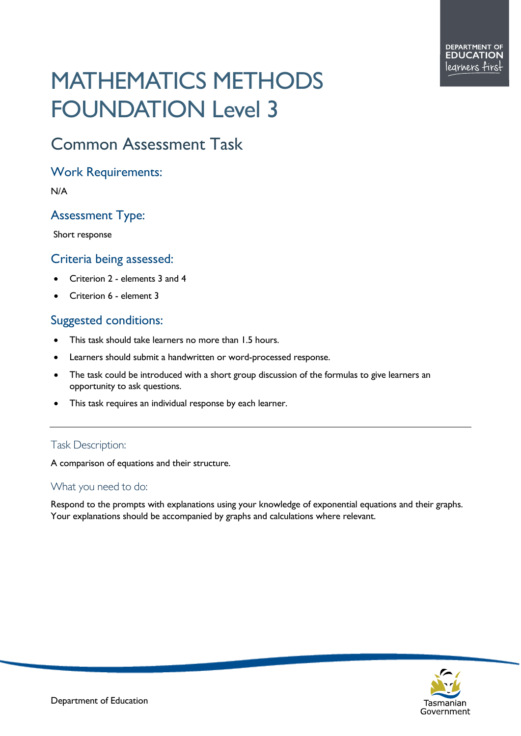# MATHEMATICS METHODS FOUNDATION Level 3

# Common Assessment Task

#### Work Requirements:

N/A

## Assessment Type:

Short response

#### Criteria being assessed:

- Criterion 2 elements 3 and 4
- Criterion 6 element 3

## Suggested conditions:

- This task should take learners no more than 1.5 hours.
- Learners should submit a handwritten or word-processed response.
- The task could be introduced with a short group discussion of the formulas to give learners an opportunity to ask questions.
- This task requires an individual response by each learner.

#### Task Description:

A comparison of equations and their structure.

#### What you need to do:

Respond to the prompts with explanations using your knowledge of exponential equations and their graphs. Your explanations should be accompanied by graphs and calculations where relevant.